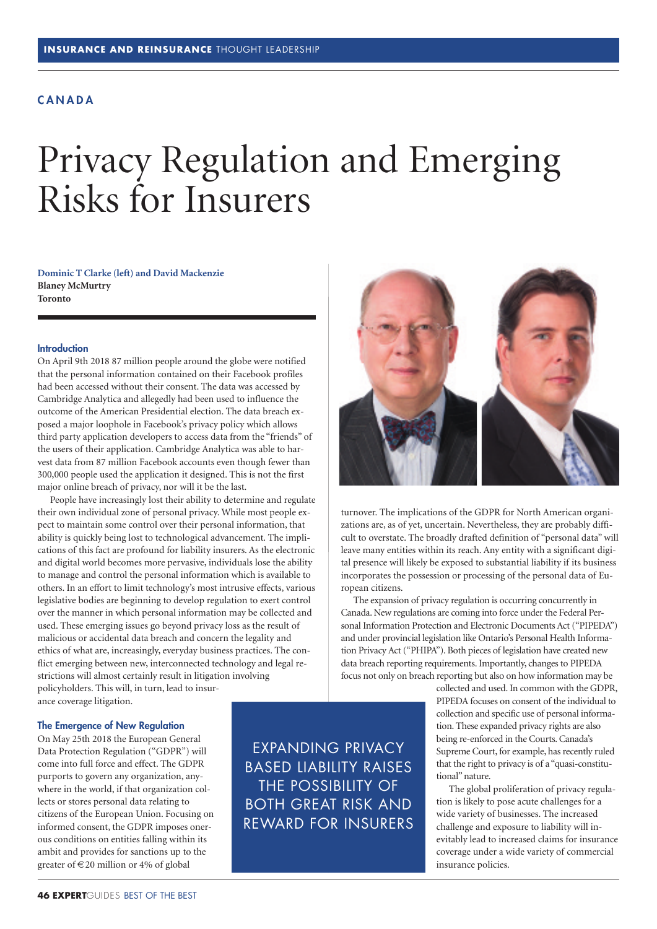# **C A N A D A**

# Privacy Regulation and Emerging Risks for Insurers

**Dominic T Clarke (left) and David Mackenzie Blaney McMurtry Toronto**

#### **Introduction**

On April 9th 2018 87 million people around the globe were notified that the personal information contained on their Facebook profiles had been accessed without their consent. The data was accessed by Cambridge Analytica and allegedly had been used to influence the outcome of the American Presidential election. The data breach exposed a major loophole in Facebook's privacy policy which allows third party application developers to access data from the "friends" of the users of their application. Cambridge Analytica was able to harvest data from 87 million Facebook accounts even though fewer than 300,000 people used the application it designed. This is not the first major online breach of privacy, nor will it be the last.

People have increasingly lost their ability to determine and regulate their own individual zone of personal privacy. While most people expect to maintain some control over their personal information, that ability is quickly being lost to technological advancement. The implications of this fact are profound for liability insurers. As the electronic and digital world becomes more pervasive, individuals lose the ability to manage and control the personal information which is available to others. In an effort to limit technology's most intrusive effects, various legislative bodies are beginning to develop regulation to exert control over the manner in which personal information may be collected and used. These emerging issues go beyond privacy loss as the result of malicious or accidental data breach and concern the legality and ethics of what are, increasingly, everyday business practices. The conflict emerging between new, interconnected technology and legal restrictions will almost certainly result in litigation involving policyholders. This will, in turn, lead to insurance coverage litigation.

#### **The Emergence of New Regulation**

On May 25th 2018 the European General Data Protection Regulation ("GDPR") will come into full force and effect. The GDPR purports to govern any organization, anywhere in the world, if that organization collects or stores personal data relating to citizens of the European Union. Focusing on informed consent, the GDPR imposes onerous conditions on entities falling within its ambit and provides for sanctions up to the greater of  $\in$  20 million or 4% of global

EXPANDING PRIVACY BASED LIABILITY RAISES THE POSSIBILITY OF BOTH GREAT RISK AND REWARD FOR INSURERS



turnover. The implications of the GDPR for North American organizations are, as of yet, uncertain. Nevertheless, they are probably difficult to overstate. The broadly drafted definition of "personal data" will leave many entities within its reach. Any entity with a significant digital presence will likely be exposed to substantial liability if its business incorporates the possession or processing of the personal data of European citizens.

The expansion of privacy regulation is occurring concurrently in Canada. New regulations are coming into force under the Federal Personal Information Protection and Electronic Documents Act ("PIPEDA") and under provincial legislation like Ontario's Personal Health Information Privacy Act ("PHIPA"). Both pieces of legislation have created new data breach reporting requirements.Importantly, changes to PIPEDA focus not only on breach reporting but also on how information may be

> collected and used.In common with the GDPR, PIPEDA focuses on consent of the individual to collection and specific use of personal information. These expanded privacy rights are also being re-enforced in the Courts. Canada's Supreme Court, for example, has recently ruled that the right to privacy is of a "quasi-constitutional"nature.

> The global proliferation of privacy regulation is likely to pose acute challenges for a wide variety of businesses. The increased challenge and exposure to liability will inevitably lead to increased claims for insurance coverage under a wide variety of commercial insurance policies.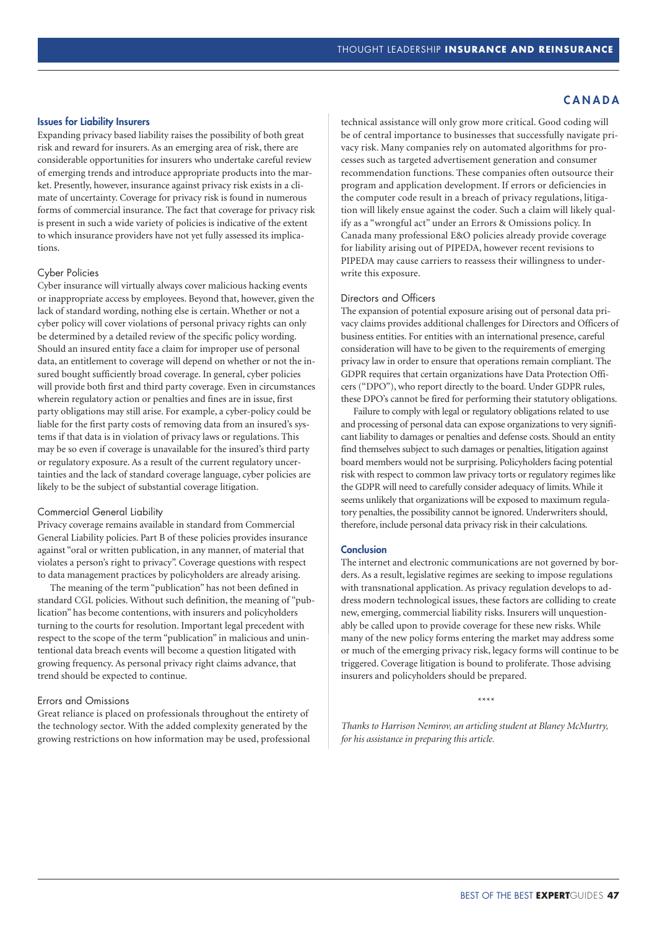#### **Issues for Liability Insurers**

Expanding privacy based liability raises the possibility of both great risk and reward for insurers. As an emerging area of risk, there are considerable opportunities for insurers who undertake careful review of emerging trends and introduce appropriate products into the market. Presently, however, insurance against privacy risk exists in a climate of uncertainty. Coverage for privacy risk is found in numerous forms of commercial insurance. The fact that coverage for privacy risk is present in such a wide variety of policies is indicative of the extent to which insurance providers have not yet fully assessed its implications.

## Cyber Policies

Cyber insurance will virtually always cover malicious hacking events or inappropriate access by employees. Beyond that, however, given the lack of standard wording, nothing else is certain. Whether or not a cyber policy will cover violations of personal privacy rights can only be determined by a detailed review of the specific policy wording. Should an insured entity face a claim for improper use of personal data, an entitlement to coverage will depend on whether or not the insured bought sufficiently broad coverage. In general, cyber policies will provide both first and third party coverage. Even in circumstances wherein regulatory action or penalties and fines are in issue, first party obligations may still arise. For example, a cyber-policy could be liable for the first party costs of removing data from an insured's systems if that data is in violation of privacy laws or regulations. This may be so even if coverage is unavailable for the insured's third party or regulatory exposure. As a result of the current regulatory uncertainties and the lack of standard coverage language, cyber policies are likely to be the subject of substantial coverage litigation.

### Commercial General Liability

Privacy coverage remains available in standard from Commercial General Liability policies. Part B of these policies provides insurance against "oral or written publication, in any manner, of material that violates a person's right to privacy". Coverage questions with respect to data management practices by policyholders are already arising.

The meaning of the term "publication" has not been defined in standard CGL policies. Without such definition, the meaning of "publication" has become contentions, with insurers and policyholders turning to the courts for resolution. Important legal precedent with respect to the scope of the term "publication" in malicious and unintentional data breach events will become a question litigated with growing frequency. As personal privacy right claims advance, that trend should be expected to continue.

## Errors and Omissions

Great reliance is placed on professionals throughout the entirety of the technology sector. With the added complexity generated by the growing restrictions on how information may be used, professional

# **C A N A D A**

technical assistance will only grow more critical. Good coding will be of central importance to businesses that successfully navigate privacy risk. Many companies rely on automated algorithms for processes such as targeted advertisement generation and consumer recommendation functions. These companies often outsource their program and application development. If errors or deficiencies in the computer code result in a breach of privacy regulations, litigation will likely ensue against the coder. Such a claim will likely qualify as a "wrongful act" under an Errors & Omissions policy. In Canada many professional E&O policies already provide coverage for liability arising out of PIPEDA, however recent revisions to PIPEDA may cause carriers to reassess their willingness to underwrite this exposure.

#### Directors and Officers

The expansion of potential exposure arising out of personal data privacy claims provides additional challenges for Directors and Officers of business entities. For entities with an international presence, careful consideration will have to be given to the requirements of emerging privacy law in order to ensure that operations remain compliant. The GDPR requires that certain organizations have Data Protection Officers ("DPO"), who report directly to the board. Under GDPR rules, these DPO's cannot be fired for performing their statutory obligations.

Failure to comply with legal or regulatory obligations related to use and processing of personal data can expose organizations to very significant liability to damages or penalties and defense costs. Should an entity find themselves subject to such damages or penalties, litigation against board members would not be surprising. Policyholders facing potential risk with respect to common law privacy torts or regulatory regimes like the GDPR will need to carefully consider adequacy of limits.While it seems unlikely that organizations will be exposed to maximum regulatory penalties, the possibility cannot be ignored. Underwriters should, therefore, include personal data privacy risk in their calculations.

### **Conclusion**

The internet and electronic communications are not governed by borders. As a result, legislative regimes are seeking to impose regulations with transnational application. As privacy regulation develops to address modern technological issues, these factors are colliding to create new, emerging, commercial liability risks. Insurers will unquestionably be called upon to provide coverage for these new risks. While many of the new policy forms entering the market may address some or much of the emerging privacy risk, legacy forms will continue to be triggered. Coverage litigation is bound to proliferate. Those advising insurers and policyholders should be prepared.

\*\*\*\*

*Thanks to Harrison Nemirov, an articling student at Blaney McMurtry, for his assistance in preparing this article.*